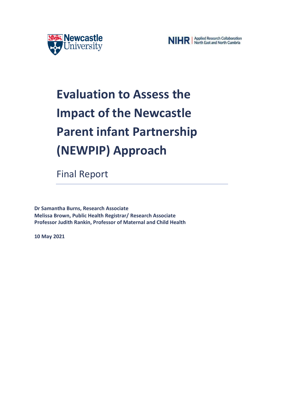



# **Evaluation to Assess the Impact of the Newcastle Parent infant Partnership (NEWPIP) Approach**

Final Report

**Dr Samantha Burns, Research Associate Melissa Brown, Public Health Registrar/ Research Associate Professor Judith Rankin, Professor of Maternal and Child Health**

**10 May 2021**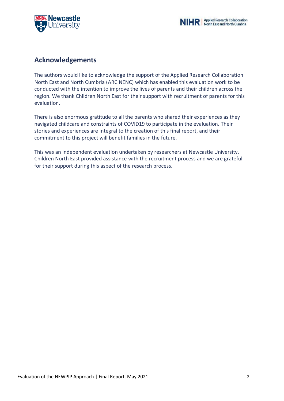



### **Acknowledgements**

The authors would like to acknowledge the support of the Applied Research Collaboration North East and North Cumbria (ARC NENC) which has enabled this evaluation work to be conducted with the intention to improve the lives of parents and their children across the region. We thank Children North East for their support with recruitment of parents for this evaluation.

There is also enormous gratitude to all the parents who shared their experiences as they navigated childcare and constraints of COVID19 to participate in the evaluation. Their stories and experiences are integral to the creation of this final report, and their commitment to this project will benefit families in the future.

This was an independent evaluation undertaken by researchers at Newcastle University. Children North East provided assistance with the recruitment process and we are grateful for their support during this aspect of the research process.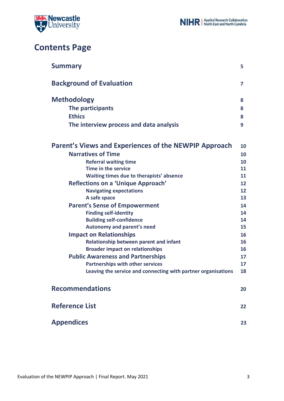

# **Contents Page**

| <b>Summary</b>                                                | 5                 |
|---------------------------------------------------------------|-------------------|
| <b>Background of Evaluation</b>                               | 7                 |
| <b>Methodology</b>                                            | 8                 |
| The participants                                              | 8                 |
| <b>Ethics</b>                                                 | 8                 |
| The interview process and data analysis                       | 9                 |
| Parent's Views and Experiences of the NEWPIP Approach         | 10                |
| <b>Narratives of Time</b>                                     | 10                |
| <b>Referral waiting time</b>                                  | 10                |
| Time in the service                                           | 11                |
| Waiting times due to therapists' absence                      | 11                |
| Reflections on a 'Unique Approach'                            | 12                |
| <b>Navigating expectations</b>                                | $12 \overline{ }$ |
| A safe space                                                  | 13                |
| <b>Parent's Sense of Empowerment</b>                          | 14                |
| <b>Finding self-identity</b>                                  | 14                |
| <b>Building self-confidence</b>                               | 14                |
| <b>Autonomy and parent's need</b>                             | 15                |
| <b>Impact on Relationships</b>                                | 16                |
| Relationship between parent and infant                        | 16                |
| <b>Broader impact on relationships</b>                        | 16                |
| <b>Public Awareness and Partnerships</b>                      | 17                |
| <b>Partnerships with other services</b>                       | 17                |
| Leaving the service and connecting with partner organisations | 18                |
| <b>Recommendations</b>                                        | 20                |
| <b>Reference List</b>                                         | 22                |
| <b>Appendices</b>                                             | 23                |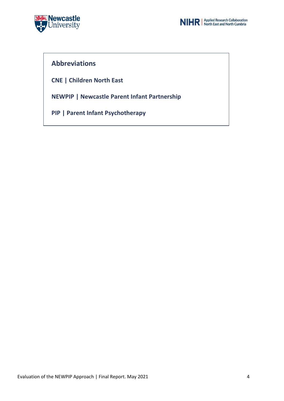



### **Abbreviations**

**CNE | Children North East**

**NEWPIP | Newcastle Parent Infant Partnership**

**PIP | Parent Infant Psychotherapy**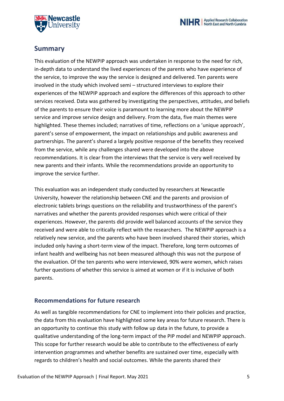



### **Summary**

This evaluation of the NEWPIP approach was undertaken in response to the need for rich, in-depth data to understand the lived experiences of the parents who have experience of the service, to improve the way the service is designed and delivered. Ten parents were involved in the study which involved semi – structured interviews to explore their experiences of the NEWPIP approach and explore the differences of this approach to other services received. Data was gathered by investigating the perspectives, attitudes, and beliefs of the parents to ensure their voice is paramount to learning more about the NEWPIP service and improve service design and delivery. From the data, five main themes were highlighted. These themes included; narratives of time, reflections on a 'unique approach', parent's sense of empowerment, the impact on relationships and public awareness and partnerships. The parent's shared a largely positive response of the benefits they received from the service, while any challenges shared were developed into the above recommendations. It is clear from the interviews that the service is very well received by new parents and their infants. While the recommendations provide an opportunity to improve the service further.

This evaluation was an independent study conducted by researchers at Newcastle University, however the relationship between CNE and the parents and provision of electronic tablets brings questions on the reliability and trustworthiness of the parent's narratives and whether the parents provided responses which were critical of their experiences. However, the parents did provide well balanced accounts of the service they received and were able to critically reflect with the researchers. The NEWPIP approach is a relatively new service, and the parents who have been involved shared their stories, which included only having a short-term view of the impact. Therefore, long term outcomes of infant health and wellbeing has not been measured although this was not the purpose of the evaluation. Of the ten parents who were interviewed, 90% were women, which raises further questions of whether this service is aimed at women or if it is inclusive of both parents.

### **Recommendations for future research**

As well as tangible recommendations for CNE to implement into their policies and practice, the data from this evaluation have highlighted some key areas for future research. There is an opportunity to continue this study with follow up data in the future, to provide a qualitative understanding of the long-term impact of the PIP model and NEWPIP approach. This scope for further research would be able to contribute to the effectiveness of early intervention programmes and whether benefits are sustained over time, especially with regards to children's health and social outcomes. While the parents shared their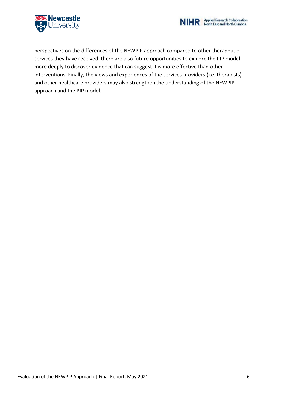



perspectives on the differences of the NEWPIP approach compared to other therapeutic services they have received, there are also future opportunities to explore the PIP model more deeply to discover evidence that can suggest it is more effective than other interventions. Finally, the views and experiences of the services providers (i.e. therapists) and other healthcare providers may also strengthen the understanding of the NEWPIP approach and the PIP model.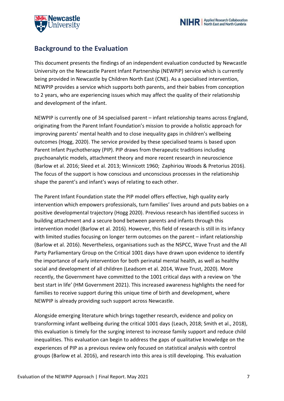



# **Background to the Evaluation**

This document presents the findings of an independent evaluation conducted by Newcastle University on the Newcastle Parent Infant Partnership (NEWPiP) service which is currently being provided in Newcastle by Children North East (CNE). As a specialised intervention, NEWPIP provides a service which supports both parents, and their babies from conception to 2 years, who are experiencing issues which may affect the quality of their relationship and development of the infant.

NEWPIP is currently one of 34 specialised parent – infant relationship teams across England, originating from the Parent Infant Foundation's mission to provide a holistic approach for improving parents' mental health and to close inequality gaps in children's wellbeing outcomes (Hogg, 2020). The service provided by these specialised teams is based upon Parent Infant Psychotherapy (PIP). PIP draws from therapeutic traditions including psychoanalytic models, attachment theory and more recent research in neuroscience (Barlow et al. 2016; Sleed et al. 2013; Winnicott 1960; Zaphiriou Woods & Pretorius 2016). The focus of the support is how conscious and unconscious processes in the relationship shape the parent's and infant's ways of relating to each other.

The Parent Infant Foundation state the PIP model offers effective, high quality early intervention which empowers professionals, turn families' lives around and puts babies on a positive developmental trajectory (Hogg 2020). Previous research has identified success in building attachment and a secure bond between parents and infants through this intervention model (Barlow et al. 2016). However, this field of research is still in its infancy with limited studies focusing on longer term outcomes on the parent – infant relationship (Barlow et al. 2016). Nevertheless, organisations such as the NSPCC, Wave Trust and the All Party Parliamentary Group on the Critical 1001 days have drawn upon evidence to identify the importance of early intervention for both perinatal mental health, as well as healthy social and development of all children (Leadsom et al. 2014, Wave Trust, 2020). More recently, the Government have committed to the 1001 critical days with a review on 'the best start in life' (HM Government 2021). This increased awareness highlights the need for families to receive support during this unique time of birth and development, where NEWPIP is already providing such support across Newcastle.

Alongside emerging literature which brings together research, evidence and policy on transforming infant wellbeing during the critical 1001 days (Leach, 2018; Smith et al., 2018), this evaluation is timely for the surging interest to increase family support and reduce child inequalities. This evaluation can begin to address the gaps of qualitative knowledge on the experiences of PIP as a previous review only focused on statistical analysis with control groups (Barlow et al. 2016), and research into this area is still developing. This evaluation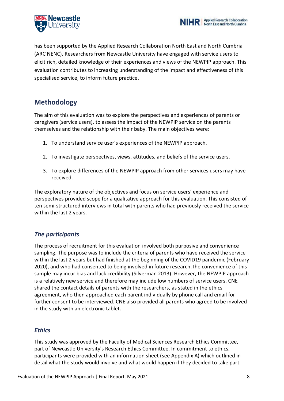



has been supported by the Applied Research Collaboration North East and North Cumbria (ARC NENC). Researchers from Newcastle University have engaged with service users to elicit rich, detailed knowledge of their experiences and views of the NEWPIP approach. This evaluation contributes to increasing understanding of the impact and effectiveness of this specialised service, to inform future practice.

## **Methodology**

The aim of this evaluation was to explore the perspectives and experiences of parents or caregivers (service users), to assess the impact of the NEWPIP service on the parents themselves and the relationship with their baby. The main objectives were:

- 1. To understand service user's experiences of the NEWPIP approach.
- 2. To investigate perspectives, views, attitudes, and beliefs of the service users.
- 3. To explore differences of the NEWPIP approach from other services users may have received.

The exploratory nature of the objectives and focus on service users' experience and perspectives provided scope for a qualitative approach for this evaluation. This consisted of ten semi-structured interviews in total with parents who had previously received the service within the last 2 years.

### *The participants*

The process of recruitment for this evaluation involved both purposive and convenience sampling. The purpose was to include the criteria of parents who have received the service within the last 2 years but had finished at the beginning of the COVID19 pandemic (February 2020), and who had consented to being involved in future research.The convenience of this sample may incur bias and lack credibility (Silverman 2013). However, the NEWPIP approach is a relatively new service and therefore may include low numbers of service users. CNE shared the contact details of parents with the researchers, as stated in the ethics agreement, who then approached each parent individually by phone call and email for further consent to be interviewed. CNE also provided all parents who agreed to be involved in the study with an electronic tablet.

### *Ethics*

This study was approved by the Faculty of Medical Sciences Research Ethics Committee, part of Newcastle University's Research Ethics Committee. In commitment to ethics, participants were provided with an information sheet (see Appendix A) which outlined in detail what the study would involve and what would happen if they decided to take part.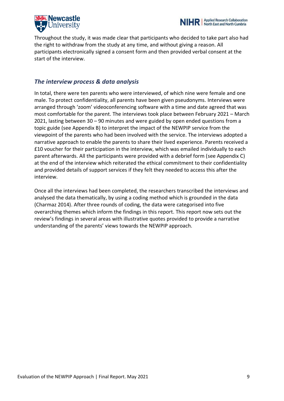



Throughout the study, it was made clear that participants who decided to take part also had the right to withdraw from the study at any time, and without giving a reason. All participants electronically signed a consent form and then provided verbal consent at the start of the interview.

### *The interview process & data analysis*

In total, there were ten parents who were interviewed, of which nine were female and one male. To protect confidentiality, all parents have been given pseudonyms. Interviews were arranged through 'zoom' videoconferencing software with a time and date agreed that was most comfortable for the parent. The interviews took place between February 2021 – March 2021, lasting between 30 – 90 minutes and were guided by open ended questions from a topic guide (see Appendix B) to interpret the impact of the NEWPIP service from the viewpoint of the parents who had been involved with the service. The interviews adopted a narrative approach to enable the parents to share their lived experience. Parents received a £10 voucher for their participation in the interview, which was emailed individually to each parent afterwards. All the participants were provided with a debrief form (see Appendix C) at the end of the interview which reiterated the ethical commitment to their confidentiality and provided details of support services if they felt they needed to access this after the interview.

Once all the interviews had been completed, the researchers transcribed the interviews and analysed the data thematically, by using a coding method which is grounded in the data (Charmaz 2014). After three rounds of coding, the data were categorised into five overarching themes which inform the findings in this report. This report now sets out the review's findings in several areas with illustrative quotes provided to provide a narrative understanding of the parents' views towards the NEWPIP approach.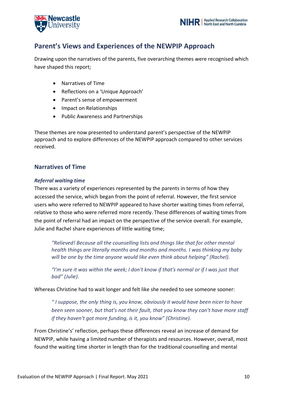



## **Parent's Views and Experiences of the NEWPIP Approach**

Drawing upon the narratives of the parents, five overarching themes were recognised which have shaped this report;

- Narratives of Time
- Reflections on a 'Unique Approach'
- Parent's sense of empowerment
- Impact on Relationships
- Public Awareness and Partnerships

These themes are now presented to understand parent's perspective of the NEWPIP approach and to explore differences of the NEWPIP approach compared to other services received.

### **Narratives of Time**

#### *Referral waiting time*

There was a variety of experiences represented by the parents in terms of how they accessed the service, which began from the point of referral. However, the first service users who were referred to NEWPIP appeared to have shorter waiting times from referral, relative to those who were referred more recently. These differences of waiting times from the point of referral had an impact on the perspective of the service overall. For example, Julie and Rachel share experiences of little waiting time;

*"Relieved! Because all the counselling lists and things like that for other mental health things are literally months and months and months. I was thinking my baby will be one by the time anyone would like even think about helping" (Rachel).* 

*"I'm sure it was within the week; I don't know if that's normal or if I was just that bad" (Julie).* 

Whereas Christine had to wait longer and felt like she needed to see someone sooner:

*" I suppose, the only thing is, you know, obviously it would have been nicer to have been seen sooner, but that's not their fault, that you know they can't have more staff if they haven't got more funding, is it, you know" (Christine).* 

From Christine's' reflection, perhaps these differences reveal an increase of demand for NEWPIP, while having a limited number of therapists and resources. However, overall, most found the waiting time shorter in length than for the traditional counselling and mental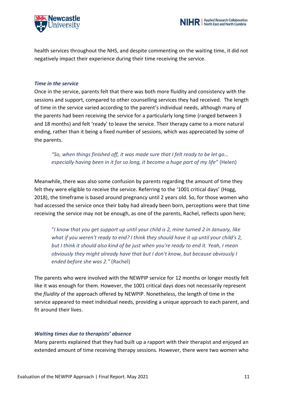

health services throughout the NHS, and despite commenting on the waiting time, it did not negatively impact their experience during their time receiving the service.

#### *Time in the service*

Once in the service, parents felt that there was both more fluidity and consistency with the sessions and support, compared to other counselling services they had received. The length of time in the service varied according to the parent's individual needs, although many of the parents had been receiving the service for a particularly long time (ranged between 3 and 18 months) and felt 'ready' to leave the service. Their therapy came to a more natural ending, rather than it being a fixed number of sessions, which was appreciated by some of the parents.

### *"So, when things finished off, it was made sure that I felt ready to be let go… especially having been in it for so long, it become a huge part of my life"* (Helen)

Meanwhile, there was also some confusion by parents regarding the amount of time they felt they were eligible to receive the service. Referring to the '1001 critical days' (Hogg, 2018), the timeframe is based around pregnancy until 2 years old. So, for those women who had accessed the service once their baby had already been born, perceptions were that time receiving the service may not be enough, as one of the parents, Rachel, reflects upon here;

"*I know that you get support up until your child is 2, mine turned 2 in January, like what if you weren't ready to end? I think they should have it up until your child's 2, but I think it should also kind of be just when you're ready to end it. Yeah, I mean obviously they might already have that but I don't know, but because obviously I ended before she was 2."* (Rachel)

The parents who were involved with the NEWPIP service for 12 months or longer mostly felt like it was enough for them. However, the 1001 critical days does not necessarily represent the *fluidity* of the approach offered by NEWPIP. Nonetheless, the length of time in the service appeared to meet individual needs, providing a unique approach to each parent, and fit around their lives.

### *Waiting times due to therapists' absence*

Many parents explained that they had built up a rapport with their therapist and enjoyed an extended amount of time receiving therapy sessions. However, there were two women who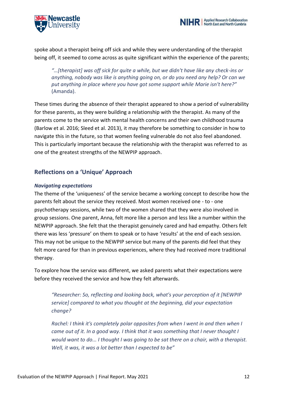



spoke about a therapist being off sick and while they were understanding of the therapist being off, it seemed to come across as quite significant within the experience of the parents;

*"…[therapist] was off sick for quite a while, but we didn't have like any check-ins or anything, nobody was like is anything going on, or do you need any help? Or can we put anything in place where you have got some support while Marie isn't here?"* (Amanda).

These times during the absence of their therapist appeared to show a period of vulnerability for these parents, as they were building a relationship with the therapist. As many of the parents come to the service with mental health concerns and their own childhood trauma (Barlow et al. 2016; Sleed et al. 2013), it may therefore be something to consider in how to navigate this in the future, so that women feeling vulnerable do not also feel abandoned. This is particularly important because the relationship with the therapist was referred to as one of the greatest strengths of the NEWPIP approach.

### **Reflections on a 'Unique' Approach**

#### *Navigating expectations*

The theme of the 'uniqueness' of the service became a working concept to describe how the parents felt about the service they received. Most women received one - to - one psychotherapy sessions, while two of the women shared that they were also involved in group sessions. One parent, Anna, felt more like a person and less like a number within the NEWPIP approach. She felt that the therapist genuinely cared and had empathy. Others felt there was less 'pressure' on them to speak or to have 'results' at the end of each session. This may not be unique to the NEWPIP service but many of the parents did feel that they felt more cared for than in previous experiences, where they had received more traditional therapy.

To explore how the service was different, we asked parents what their expectations were before they received the service and how they felt afterwards.

*"Researcher: So, reflecting and looking back, what's your perception of it [NEWPIP service] compared to what you thought at the beginning, did your expectation change?*

*Rachel: I think it's completely polar opposites from when I went in and then when I came out of it. In a good way. I think that it was something that I never thought I would want to do... I thought I was going to be sat there on a chair, with a therapist. Well, it was, it was a lot better than I expected to be"*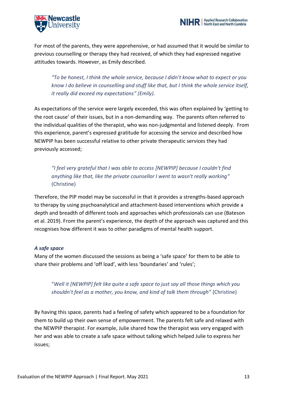



For most of the parents, they were apprehensive, or had assumed that it would be similar to previous counselling or therapy they had received, of which they had expressed negative attitudes towards. However, as Emily described.

*"To be honest, I think the whole service, because I didn't know what to expect or you know I do believe in counselling and stuff like that, but I think the whole service itself, it really did exceed my expectations" (Emily).*

As expectations of the service were largely exceeded, this was often explained by 'getting to the root cause' of their issues, but in a non-demanding way. The parents often referred to the individual qualities of the therapist, who was non-judgmental and listened deeply. From this experience, parent's expressed gratitude for accessing the service and described how NEWPIP has been successful relative to other private therapeutic services they had previously accessed;

*"I feel very grateful that I was able to access [NEWPIP] because I couldn't find anything like that, like the private counsellor I went to wasn't really working"*  (Christine)

Therefore, the PIP model may be successful in that it provides a strengths-based approach to therapy by using psychoanalytical and attachment-based interventions which provide a depth and breadth of different tools and approaches which professionals can use (Bateson et al. 2019). From the parent's experience, the depth of the approach was captured and this recognises how different it was to other paradigms of mental health support.

#### *A safe space*

Many of the women discussed the sessions as being a 'safe space' for them to be able to share their problems and 'off load', with less 'boundaries' and 'rules';

"*Well it [NEWPIP] felt like quite a safe space to just say all those things which you shouldn't feel as a mother, you know, and kind of talk them through"* (Christine)

By having this space, parents had a feeling of safety which appeared to be a foundation for them to build up their own sense of empowerment. The parents felt safe and relaxed with the NEWPIP therapist. For example, Julie shared how the therapist was very engaged with her and was able to create a safe space without talking which helped Julie to express her issues;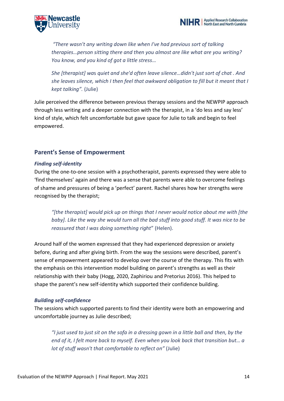



*"There wasn't any writing down like when I've had previous sort of talking therapies…person sitting there and then you almost are like what are you writing? You know, and you kind of got a little stress…*

*She [therapist] wa*s *quiet and she'd often leave silence…didn't just sort of chat . And she leaves silence, which I then feel that awkward obligation to fill but it meant that I kept talking".* (Julie)

Julie perceived the difference between previous therapy sessions and the NEWPIP approach through less writing and a deeper connection with the therapist, in a 'do less and say less' kind of style, which felt uncomfortable but gave space for Julie to talk and begin to feel empowered.

### **Parent's Sense of Empowerment**

#### *Finding self-identity*

During the one-to-one session with a psychotherapist, parents expressed they were able to 'find themselves' again and there was a sense that parents were able to overcome feelings of shame and pressures of being a 'perfect' parent. Rachel shares how her strengths were recognised by the therapist;

*"[the therapist] would pick up on things that I never would notice about me with [the baby]. Like the way she would turn all the bad stuff into good stuff. It was nice to be reassured that I was doing something right*" (Helen).

Around half of the women expressed that they had experienced depression or anxiety before, during and after giving birth. From the way the sessions were described, parent's sense of empowerment appeared to develop over the course of the therapy. This fits with the emphasis on this intervention model building on parent's strengths as well as their relationship with their baby (Hogg, 2020, Zaphiriou and Pretorius 2016). This helped to shape the parent's new self-identity which supported their confidence building.

#### *Building self-confidence*

The sessions which supported parents to find their identity were both an empowering and uncomfortable journey as Julie described;

*"I just used to just sit on the sofa in a dressing gown in a little ball and then, by the end of it, I felt more back to myself. Even when you look back that transition but… a lot of stuff wasn't that comfortable to reflect on"* (Julie)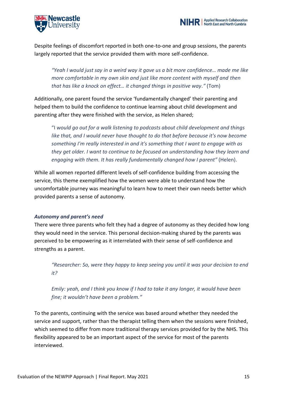



Despite feelings of discomfort reported in both one-to-one and group sessions, the parents largely reported that the service provided them with more self-confidence.

*"Yeah I would just say in a weird way it gave us a bit more confidence… made me like more comfortable in my own skin and just like more content with myself and then that has like a knock on effect… it changed things in positive way."* (Tom)

Additionally, one parent found the service 'fundamentally changed' their parenting and helped them to build the confidence to continue learning about child development and parenting after they were finished with the service, as Helen shared;

"I *would go out for a walk listening to podcasts about child development and things like that, and I would never have thought to do that before because it's now become something I'm really interested in and it's something that I want to engage with as they get older. I want to continue to be focused on understanding how they learn and engaging with them. It has really fundamentally changed how I parent"* (Helen).

While all women reported different levels of self-confidence building from accessing the service, this theme exemplified how the women were able to understand how the uncomfortable journey was meaningful to learn how to meet their own needs better which provided parents a sense of autonomy.

#### *Autonomy and parent's need*

There were three parents who felt they had a degree of autonomy as they decided how long they would need in the service. This personal decision-making shared by the parents was perceived to be empowering as it interrelated with their sense of self-confidence and strengths as a parent.

*"Researcher: So, were they happy to keep seeing you until it was your decision to end it?*

*Emily: yeah, and I think you know if I had to take it any longer, it would have been fine; it wouldn't have been a problem."*

To the parents, continuing with the service was based around whether they needed the service and support, rather than the therapist telling them when the sessions were finished, which seemed to differ from more traditional therapy services provided for by the NHS. This flexibility appeared to be an important aspect of the service for most of the parents interviewed.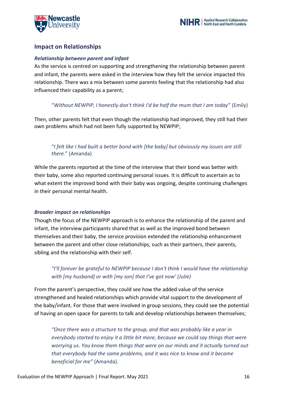



### **Impact on Relationships**

#### *Relationship between parent and infant*

As the service is centred on supporting and strengthening the relationship between parent and infant, the parents were asked in the interview how they felt the service impacted this relationship. There was a mix between some parents feeling that the relationship had also influenced their capability as a parent;

### "*Without NEWPIP, I honestly don't think I'd be half the mum that I am today*" (Emily)

Then, other parents felt that even though the relationship had improved, they still had their own problems which had not been fully supported by NEWPIP;

### "*I felt like I had built a better bond with [the baby] but obviously my issues are still there.*" (Amanda)

While the parents reported at the time of the interview that their bond was better with their baby, some also reported continuing personal issues. It is difficult to ascertain as to what extent the improved bond with their baby was ongoing, despite continuing challenges in their personal mental health.

#### *Broader impact on relationships*

Though the focus of the NEWPIP approach is to enhance the relationship of the parent and infant, the interview participants shared that as well as the improved bond between themselves and their baby, the service provision extended the relationship enhancement between the parent and other close relationships, such as their partners, their parents, sibling and the relationship with their self.

### *"I'll forever be grateful to NEWPIP because I don't think I would have the relationship with [my husband] or with [my son] that I've got now' (Julie)*

From the parent's perspective, they could see how the added value of the service strengthened and healed relationships which provide vital support to the development of the baby/infant. For those that were involved in group sessions, they could see the potential of having an open space for parents to talk and develop relationships between themselves;

*"Once there was a structure to the group, and that was probably like a year in everybody started to enjoy it a little bit more, because we could say things that were worrying us. You know them things that were on our minds and it actually turned out that everybody had the same problems, and it was nice to know and it became beneficial for me"* (Amanda).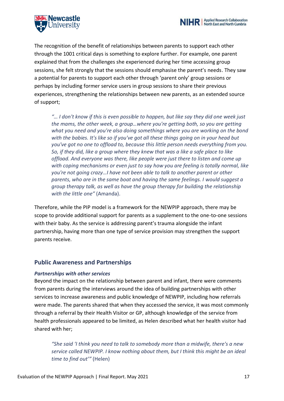



The recognition of the benefit of relationships between parents to support each other through the 1001 critical days is something to explore further. For example, one parent explained that from the challenges she experienced during her time accessing group sessions, she felt strongly that the sessions should emphasise the parent's needs. They saw a potential for parents to support each other through 'parent only' group sessions or perhaps by including former service users in group sessions to share their previous experiences, strengthening the relationships between new parents, as an extended source of support;

*"… I don't know if this is even possible to happen, but like say they did one week just the mams, the other week, a group…where you're getting both, so you are getting what you need and you're also doing somethings where you are working on the bond with the babies. It's like so if you've got all these things going on in your head but you've got no one to offload to, because this little person needs everything from you. So, if they did, like a group where they knew that was a like a safe place to like offload. And everyone was there, like people were just there to listen and come up with coping mechanisms or even just to say how you are feeling is totally normal, like you're not going crazy…I have not been able to talk to another parent or other parents, who are in the same boat and having the same feelings. I would suggest a group therapy talk, as well as have the group therapy for building the relationship with the little one"* (Amanda).

Therefore, while the PIP model is a framework for the NEWPIP approach, there may be scope to provide additional support for parents as a supplement to the one-to-one sessions with their baby. As the service is addressing parent's trauma alongside the infant partnership, having more than one type of service provision may strengthen the support parents receive.

### **Public Awareness and Partnerships**

#### *Partnerships with other services*

Beyond the impact on the relationship between parent and infant, there were comments from parents during the interviews around the idea of building partnerships with other services to increase awareness and public knowledge of NEWPIP, including how referrals were made. The parents shared that when they accessed the service, it was most commonly through a referral by their Health Visitor or GP, although knowledge of the service from health professionals appeared to be limited, as Helen described what her health visitor had shared with her;

*"She said 'I think you need to talk to somebody more than a midwife, there's a new service called NEWPIP. I know nothing about them, but I think this might be an ideal time to find out'"* (Helen)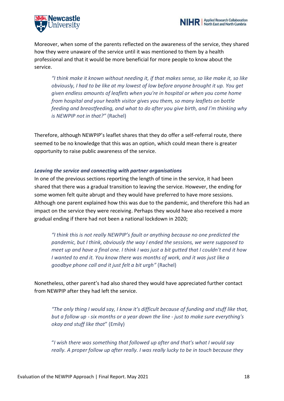



Moreover, when some of the parents reflected on the awareness of the service, they shared how they were unaware of the service until it was mentioned to them by a health professional and that it would be more beneficial for more people to know about the service.

*"I think make it known without needing it, if that makes sense, so like make it, so like obviously, I had to be like at my lowest of low before anyone brought it up. You get given endless amounts of leaflets when you're in hospital or when you come home from hospital and your health visitor gives you them, so many leaflets on bottle feeding and breastfeeding, and what to do after you give birth, and I'm thinking why is NEWPIP not in that?"* (Rachel)

Therefore, although NEWPIP's leaflet shares that they do offer a self-referral route, there seemed to be no knowledge that this was an option, which could mean there is greater opportunity to raise public awareness of the service.

#### *Leaving the service and connecting with partner organisations*

In one of the previous sections reporting the length of time in the service, it had been shared that there was a gradual transition to leaving the service. However, the ending for some women felt quite abrupt and they would have preferred to have more sessions. Although one parent explained how this was due to the pandemic, and therefore this had an impact on the service they were receiving. Perhaps they would have also received a more gradual ending if there had not been a national lockdown in 2020;

*"I think this is not really NEWPIP's fault or anything because no one predicted the pandemic, but I think, obviously the way I ended the sessions, we were supposed to meet up and have a final one. I think I was just a bit gutted that I couldn't end it how I wanted to end it. You know there was months of work, and it was just like a goodbye phone call and it just felt a bit urgh"* (Rachel)

Nonetheless, other parent's had also shared they would have appreciated further contact from NEWPIP after they had left the service.

*"The only thing I would say, I know it's difficult because of funding and stuff like that, but a follow up - six months or a year down the line - just to make sure everything's okay and stuff like that*" (Emily)

"*I wish there was something that followed up after and that's what I would say really. A proper follow up after really. I was really lucky to be in touch because they*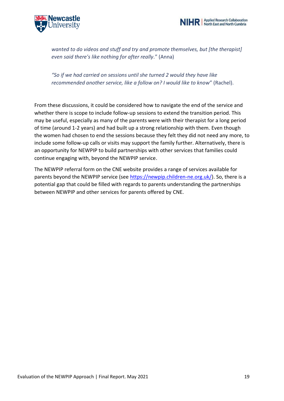



*wanted to do videos and stuff and try and promote themselves, but [the therapist] even said there's like nothing for after really.*" (Anna)

*"So if we had carried on sessions until she turned 2 would they have like recommended another service, like a follow on? I would like to know*" (Rachel).

From these discussions, it could be considered how to navigate the end of the service and whether there is scope to include follow-up sessions to extend the transition period. This may be useful, especially as many of the parents were with their therapist for a long period of time (around 1-2 years) and had built up a strong relationship with them. Even though the women had chosen to end the sessions because they felt they did not need any more, to include some follow-up calls or visits may support the family further. Alternatively, there is an opportunity for NEWPIP to build partnerships with other services that families could continue engaging with, beyond the NEWPIP service.

The NEWPIP referral form on the CNE website provides a range of services available for parents beyond the NEWPIP service (see [https://newpip.children-ne.org.uk/\)](https://newpip.children-ne.org.uk/). So, there is a potential gap that could be filled with regards to parents understanding the partnerships between NEWPIP and other services for parents offered by CNE.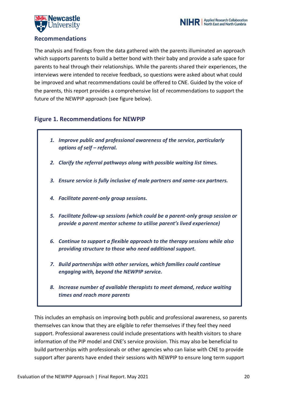



### **Recommendations**

The analysis and findings from the data gathered with the parents illuminated an approach which supports parents to build a better bond with their baby and provide a safe space for parents to heal through their relationships. While the parents shared their experiences, the interviews were intended to receive feedback, so questions were asked about what could be improved and what recommendations could be offered to CNE. Guided by the voice of the parents, this report provides a comprehensive list of recommendations to support the future of the NEWPIP approach (see figure below).

### **Figure 1. Recommendations for NEWPIP**

- *1. Improve public and professional awareness of the service, particularly options of self – referral.*
- *2. Clarify the referral pathways along with possible waiting list times.*
- *3. Ensure service is fully inclusive of male partners and same-sex partners.*
- *4. Facilitate parent-only group sessions.*
- *5. Facilitate follow-up sessions (which could be a parent-only group session or provide a parent mentor scheme to utilise parent's lived experience)*
- *6. Continue to support a flexible approach to the therapy sessions while also providing structure to those who need additional support.*
- *7. Build partnerships with other services, which families could continue engaging with, beyond the NEWPIP service.*
- *8. Increase number of available therapists to meet demand, reduce waiting times and reach more parents*

This includes an emphasis on improving both public and professional awareness, so parents themselves can know that they are eligible to refer themselves if they feel they need support. Professional awareness could include presentations with health visitors to share information of the PIP model and CNE's service provision. This may also be beneficial to build partnerships with professionals or other agencies who can liaise with CNE to provide support after parents have ended their sessions with NEWPIP to ensure long term support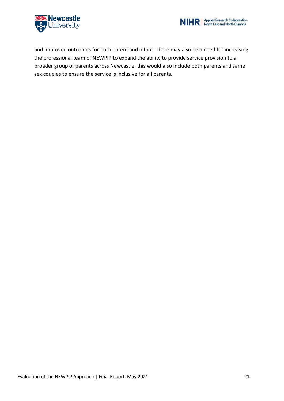



and improved outcomes for both parent and infant. There may also be a need for increasing the professional team of NEWPIP to expand the ability to provide service provision to a broader group of parents across Newcastle, this would also include both parents and same sex couples to ensure the service is inclusive for all parents.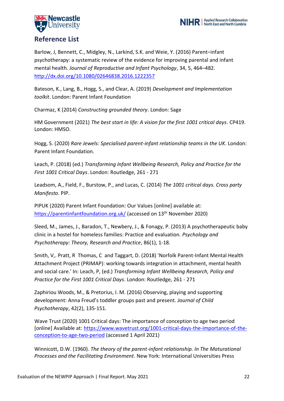



Barlow, J, Bennett, C., Midgley, N., Larkind, S.K. and Weie, Y. (2016) Parent–infant psychotherapy: a systematic review of the evidence for improving parental and infant mental health. *Journal of Reproductive and Infant Psychology*, 34, 5, 464–482. <http://dx.doi.org/10.1080/02646838.2016.1222357>

Bateson, K., Lang, B., Hogg, S., and Clear, A. (2019) *Development and Implementation toolkit*. London: Parent Infant Foundation

Charmaz, K (2014) *Constructing grounded theory*. London: Sage

HM Government (2021) *The best start in life: A vision for the first 1001 critical days*. CP419. London: HMSO.

Hogg, S. (2020) *Rare Jewels: Specialised parent-infant relationship teams in the UK*. London: Parent Infant Foundation.

Leach, P. (2018) (ed.) *Transforming Infant Wellbeing Research, Policy and Practice for the First 1001 Critical Days*. London: Routledge, 261 - 271

Leadsom, A., Field, F., Burstow, P., and Lucas, C. (2014) *The 1001 critical days. Cross party Manifesto*. PIP.

PIPUK (2020) Parent Infant Foundation: Our Values [online] available at: <https://parentinfantfoundation.org.uk/> (accessed on 13<sup>th</sup> November 2020)

Sleed, M., James, J., Baradon, T., Newbery, J., & Fonagy, P. (2013) A psychotherapeutic baby clinic in a hostel for homeless families: Practice and evaluation. *Psychology and Psychotherapy: Theory, Research and Practice*, 86(1), 1-18.

Smith, V,. Pratt, R Thomas, C and Taggart, D. (2018) 'Norfolk Parent-Infant Mental Health Attachment Project (PRIMAP): working towards integration in attachment, mental health and social care.' In: Leach, P, (ed.) *Transforming Infant Wellbeing Research, Policy and Practice for the First 1001 Critical Days*. London: Routledge, 261 - 271

Zaphiriou Woods, M., & Pretorius, I. M. (2016) Observing, playing and supporting development: Anna Freud's toddler groups past and present. *Journal of Child Psychotherapy*, 42(2), 135-151.

Wave Trust (2020) 1001 Critical days: The importance of conception to age two period [online] Available at: [https://www.wavetrust.org/1001-critical-days-the-importance-of-the](https://www.wavetrust.org/1001-critical-days-the-importance-of-the-conception-to-age-two-period)[conception-to-age-two-period](https://www.wavetrust.org/1001-critical-days-the-importance-of-the-conception-to-age-two-period) (accessed 1 April 2021)

Winnicott, D.W. (1960). *The theory of the parent*‑*infant relationship. In The Maturational Processes and the Facilitating Environment*. New York: International Universities Press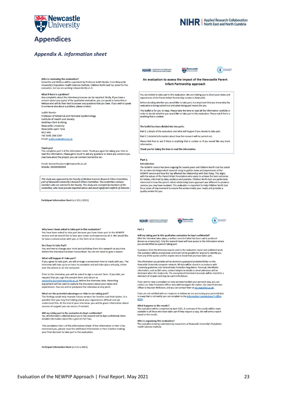

### **Appendices**

#### *Appendix A. information sheet*

#### Who is reviewing the evaluation?

vono is reviewing the evaluation:<br>Samantha and Melissa will be supervised by Professor Judith Rankin, from Newcastle University's Population Health Sciences Institute. Children North East has asked for this evaluation, but we are working independently on it.

#### What if there is a problem?

wriat in urere is a protonent for processes can be reported. Firstly, if you have a<br>concern about any aspect of the qualitative evaluation, you can speak to Samantha or<br>Melissa who will do their best to answer any question to someone else about a problem, please contact:

**Judith Rankin** Professor of Maternal and Perinatal Epidemiology Institute of Health and Society **Baddiley-Clark Building** Newcastle University Newcastle upon Tyne **NE2 4AX** Tel: 0191 208 5267 Email: judith.rankin@ncl.ac.uk

#### Thank you!

This completes part 2 of the information sheet. Thank you again for taking your time to<br>read this information. Please get in touch to ask any questions or share any concerns you may have about the project, you can contact Samantha on;

Email: Samantha.burns@newcastle.ac.uk Mobile: XXXXXXXXXX

This study was approved by the Faculty of Medical Sciences Research Ethics Committee,<br>part of Newcastle University's Research Ethics Committee. This committee contains members who are internal to the Faculty. This study was reviewed by members of the committee, who must provide impartial advice and avoid significant conflicts of interests.

Participant Information Sheet (v.3 15.1.2021)

NIHR Applied Research Collaboration





NIHR | Applied Research Collaboration

An evaluation to assess the impact of the Newcastle Parent **Infant Partnership approach** 

You are invited to take part in this evaluation. We are inviting you to share your views and<br>experiences of the Parent Infant Partnership service in Newcastle.

Before deciding whether you would like to take part, it is important that you know why this<br>evaluation is being carried out and what taking part means for you.

This leaflet is for you to keep. Please take the time to read all the information carefully in This leaflet is for you to keep. Please take the time to read all the information carefully in<br>order to decide whether you would like to take part in this evaluation. Please ask if there is<br>anything that is unclear.

The leaflet has been divided into two parts:

Part 1 | details of the evaluation and what will happen if you decide to take part.

Part 2 | detailed information about how the research will be carried out

Please feel free to ask if there is anything that is unclear or if you would like any more

Thank you for taking the time to read this information.

#### Part 1 **Introduction**

The NEWPIP service has been ongoing for several years and Children North East has asked For interview and how this has affected the relationship with their baby. The mexternal independent research study to gather views and experiences of the NEWPIP series and how this has affected the relationship with their interested in how this parent-infant relationship team approach was different to previous meters continue that preceived. This evaluation is important to help Children North East<br>focus areas of improvement to ensure the service meets your needs and provides a<br>quality service for you.

#### Why have I heen asked to take part in this evaluation?

You have been asked to take part because you have taken part in the NEWPIP<br>service and we would like to hear your views and experiences of it. We would like to have a conversation with you, in the form of an interview.

#### Do I have to take Part?

You are free to change your mind and withdraw from this research at any time<br>before the interview has been transcribed. You do not need to give a reason.

#### What will happen if I take part?

If you agree to take part, we will arrange a convenient time to meet with you. The<br>interview will take up to an hour to complete and will take place virtually, either over the phone or on the computer.

Prior to the interview, you will be asked to sign a consent form. If possible, we request that you sign the consent form and return to Expression about the construction and example in the interview date. Recording<br>equipment will be used to capture the discussion about your views and experiences. You can end or postpone the interview at any point.

#### What are the potential advantages or risks to me taking part?

The findings could help improve future services for families and their babies. It is<br>possible that you may find talking about your experiences difficult and we understand this. At the end of your interview. you will be given information about sources of support you can access if needed.

Will my taking part in the evaluation be kept confidential?<br>Yes. All information collected about you in this research will be kept confidential. More detailed information about this is given in Part Two.

This completes Part 1 of the Information Sheet. If the information in Part 1 has interested you, please read the additional information in Part 2 before making your final decision to take part in the evaluation.

Participant Information Sheet (v.3 15.1.2021)

NIHR | Applied Research Collaboration

Part<sub>2</sub>

Will my taking part in this qualitative evaluation be kept confidential?<br>After the interview takes place, a written record of what has been said is produced (known as a transcript). Only the research team will have access to the information where you are identified as a person taking part.

**SA Newcastle** 

Quotations from the interview may be used in the evaluation report and published work.<br>The quotation will be anonymised, and it will not be possible for anyone to identify you<br>from any of the quotes and for anyone else to

The information you provide will be stored in a password protected folder on the The intermation you provide will be stored in a password protected todier of the Newcastle University computer network. All data will be stored in accordance with University guidelines and General Data Protection Regulatio minimum of 10 years and may be used in the future.

If you wish to raise a complaint on how we have handled your personal data, you can<br>contact our Data Protection Officer who will investigate the matter. Our Data Protection<br>Officer is Maureen Wilkinson, and you can contact

If you are not satisfied with our response or believe we are processing your personal data in a way that is not lawful, you can complain to the Information Cor er's Office  $[ICO]$ 

What happens to the results?<br>The evaluation will be completed by April 2021. A summary of the results will be made<br>available to all those who have taken part if they request a copy. We will write a report<br>based on the resu

#### Who is organising this evaluation?

Who is organising this evaluation?<br>The evaluation is being undertaken by researchers at Newcastle University's Population<br>Health Sciences Institute.

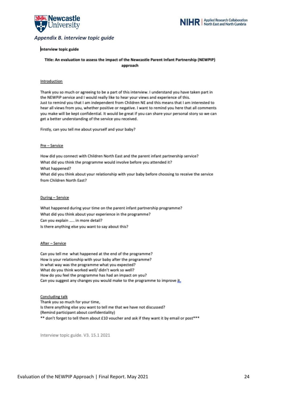



#### *Appendix B. interview topic guide*

#### Interview topic guide

#### Title: An evaluation to assess the impact of the Newcastle Parent Infant Partnership (NEWPIP) approach

#### Introduction

Thank you so much or agreeing to be a part of this interview. I understand you have taken part in the NEWPiP service and I would really like to hear your views and experience of this. Just to remind you that I am independent from Children NE and this means that I am interested to hear all views from you, whether positive or negative. I want to remind you here that all comments you make will be kept confidential. It would be great if you can share your personal story so we can get a better understanding of the service you received.

Firstly, can you tell me about yourself and your baby?

#### Pre - Service

How did you connect with Children North East and the parent infant partnership service? What did you think the programme would involve before you attended it? What happened? What did you think about your relationship with your baby before choosing to receive the service from Children North East?

#### During - Service

What happened during your time on the parent infant partnership programme? What did you think about your experience in the programme? Can you explain ..... in more detail? Is there anything else you want to say about this?

#### After - Service

Can you tell me what happened at the end of the programme? How is your relationship with your baby after the programme? In what way was the programme what you expected? What do you think worked well/ didn't work so well? How do you feel the programme has had an impact on you? Can you suggest any changes you would make to the programme to improve it.

Concluding talk Thank you so much for your time, Is there anything else you want to tell me that we have not discussed? (Remind participant about confidentiality) \*\* don't forget to tell them about £10 voucher and ask if they want it by email or post\*\*\*

Interview topic guide. V3. 15.1 2021